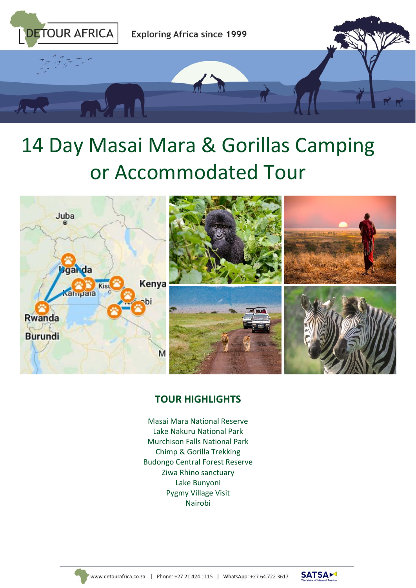

# 14 Day Masai Mara & Gorillas Camping or Accommodated Tour





#### **TOUR HIGHLIGHTS**

Masai Mara National Reserve Lake Nakuru National Park Murchison Falls National Park Chimp & Gorilla Trekking Budongo Central Forest Reserve Ziwa Rhino sanctuary Lake Bunyoni Pygmy Village Visit Nairobi



www.detourafrica.co.za | Phone: +27 21 424 1115 | WhatsApp: +27 64 722 3617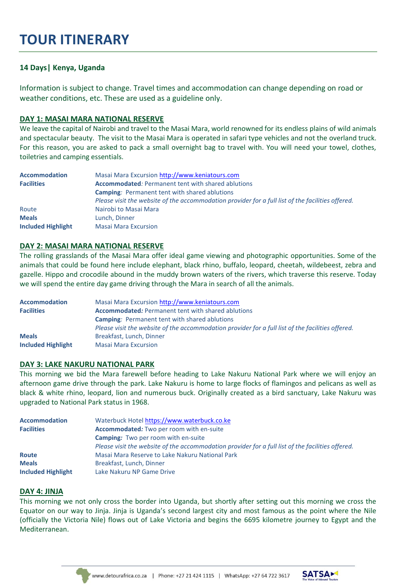### **TOUR ITINERARY**

#### **14 Days| Kenya, Uganda**

Information is subject to change. Travel times and accommodation can change depending on road or weather conditions, etc. These are used as a guideline only.

#### **DAY 1: MASAI MARA NATIONAL RESERVE**

We leave the capital of Nairobi and travel to the Masai Mara, world renowned for its endless plains of wild animals and spectacular beauty. The visit to the Masai Mara is operated in safari type vehicles and not the overland truck. For this reason, you are asked to pack a small overnight bag to travel with. You will need your towel, clothes, toiletries and camping essentials.

| <b>Accommodation</b>                                                           | Masai Mara Excursion http://www.keniatours.com                                                    |  |
|--------------------------------------------------------------------------------|---------------------------------------------------------------------------------------------------|--|
| <b>Accommodated:</b> Permanent tent with shared ablutions<br><b>Facilities</b> |                                                                                                   |  |
|                                                                                | <b>Camping:</b> Permanent tent with shared ablutions                                              |  |
|                                                                                | Please visit the website of the accommodation provider for a full list of the facilities offered. |  |
| Route                                                                          | Nairobi to Masai Mara                                                                             |  |
| <b>Meals</b>                                                                   | Lunch, Dinner                                                                                     |  |
| <b>Included Highlight</b>                                                      | <b>Masai Mara Excursion</b>                                                                       |  |

#### **DAY 2: MASAI MARA NATIONAL RESERVE**

The rolling grasslands of the Masai Mara offer ideal game viewing and photographic opportunities. Some of the animals that could be found here include elephant, black rhino, buffalo, leopard, cheetah, wildebeest, zebra and gazelle. Hippo and crocodile abound in the muddy brown waters of the rivers, which traverse this reserve. Today we will spend the entire day game driving through the Mara in search of all the animals.

| <b>Accommodation</b>      | Masai Mara Excursion http://www.keniatours.com                                                    |
|---------------------------|---------------------------------------------------------------------------------------------------|
| <b>Facilities</b>         | <b>Accommodated:</b> Permanent tent with shared ablutions                                         |
|                           | <b>Camping: Permanent tent with shared ablutions</b>                                              |
|                           | Please visit the website of the accommodation provider for a full list of the facilities offered. |
| <b>Meals</b>              | Breakfast, Lunch, Dinner                                                                          |
| <b>Included Highlight</b> | <b>Masai Mara Excursion</b>                                                                       |

#### **DAY 3: LAKE NAKURU NATIONAL PARK**

This morning we bid the Mara farewell before heading to Lake Nakuru National Park where we will enjoy an afternoon game drive through the park. Lake Nakuru is home to large flocks of flamingos and pelicans as well as black & white rhino, leopard, lion and numerous buck. Originally created as a bird sanctuary, Lake Nakuru was upgraded to National Park status in 1968.

| <b>Accommodation</b>      | Waterbuck Hotel https://www.waterbuck.co.ke                                                       |  |
|---------------------------|---------------------------------------------------------------------------------------------------|--|
| <b>Facilities</b>         | <b>Accommodated:</b> Two per room with en-suite                                                   |  |
|                           | <b>Camping:</b> Two per room with en-suite                                                        |  |
|                           | Please visit the website of the accommodation provider for a full list of the facilities offered. |  |
| <b>Route</b>              | Masai Mara Reserve to Lake Nakuru National Park                                                   |  |
| <b>Meals</b>              | Breakfast, Lunch, Dinner                                                                          |  |
| <b>Included Highlight</b> | Lake Nakuru NP Game Drive                                                                         |  |

#### **DAY 4: JINJA**

This morning we not only cross the border into Uganda, but shortly after setting out this morning we cross the Equator on our way to Jinja. Jinja is Uganda's second largest city and most famous as the point where the Nile (officially the Victoria Nile) flows out of Lake Victoria and begins the 6695 kilometre journey to Egypt and the Mediterranean.



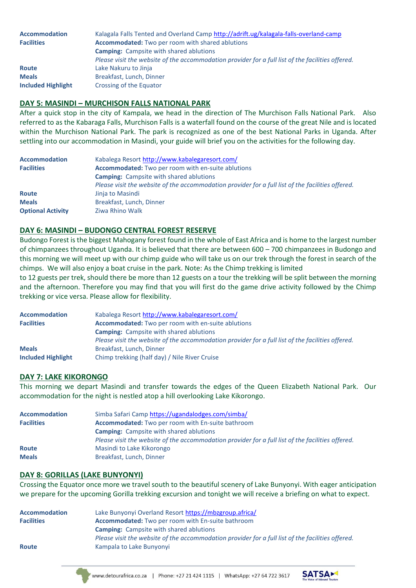| <b>Accommodation</b>      | Kalagala Falls Tented and Overland Camp http://adrift.ug/kalagala-falls-overland-camp             |  |
|---------------------------|---------------------------------------------------------------------------------------------------|--|
| <b>Facilities</b>         | Accommodated: Two per room with shared ablutions                                                  |  |
|                           | <b>Camping:</b> Campsite with shared ablutions                                                    |  |
|                           | Please visit the website of the accommodation provider for a full list of the facilities offered. |  |
| <b>Route</b>              | Lake Nakuru to Jinja                                                                              |  |
| <b>Meals</b>              | Breakfast, Lunch, Dinner                                                                          |  |
| <b>Included Highlight</b> | Crossing of the Equator                                                                           |  |

#### **DAY 5: MASINDI – MURCHISON FALLS NATIONAL PARK**

After a quick stop in the city of Kampala, we head in the direction of The Murchison Falls National Park. Also referred to as the Kabaraga Falls, Murchison Falls is a waterfall found on the course of the great Nile and is located within the Murchison National Park. The park is recognized as one of the best National Parks in Uganda. After settling into our accommodation in Masindi, your guide will brief you on the activities for the following day.

| <b>Accommodation</b>     | Kabalega Resort http://www.kabalegaresort.com/                                                    |  |  |
|--------------------------|---------------------------------------------------------------------------------------------------|--|--|
| <b>Facilities</b>        | <b>Accommodated:</b> Two per room with en-suite ablutions                                         |  |  |
|                          | <b>Camping:</b> Campsite with shared ablutions                                                    |  |  |
|                          | Please visit the website of the accommodation provider for a full list of the facilities offered. |  |  |
| <b>Route</b>             | Jinja to Masindi                                                                                  |  |  |
| <b>Meals</b>             | Breakfast, Lunch, Dinner                                                                          |  |  |
| <b>Optional Activity</b> | Ziwa Rhino Walk                                                                                   |  |  |

#### **DAY 6: MASINDI – BUDONGO CENTRAL FOREST RESERVE**

Budongo Forest is the biggest Mahogany forest found in the whole of East Africa and is home to the largest number of chimpanzees throughout Uganda. It is believed that there are between 600 – 700 chimpanzees in Budongo and this morning we will meet up with our chimp guide who will take us on our trek through the forest in search of the chimps. We will also enjoy a boat cruise in the park. Note: As the Chimp trekking is limited

to 12 guests per trek, should there be more than 12 guests on a tour the trekking will be split between the morning and the afternoon. Therefore you may find that you will first do the game drive activity followed by the Chimp trekking or vice versa. Please allow for flexibility.

| <b>Accommodation</b>      | Kabalega Resort http://www.kabalegaresort.com/                                                    |  |
|---------------------------|---------------------------------------------------------------------------------------------------|--|
| <b>Facilities</b>         | <b>Accommodated:</b> Two per room with en-suite ablutions                                         |  |
|                           | <b>Camping:</b> Campsite with shared ablutions                                                    |  |
|                           | Please visit the website of the accommodation provider for a full list of the facilities offered. |  |
| <b>Meals</b>              | Breakfast, Lunch, Dinner                                                                          |  |
| <b>Included Highlight</b> | Chimp trekking (half day) / Nile River Cruise                                                     |  |

#### **DAY 7: LAKE KIKORONGO**

This morning we depart Masindi and transfer towards the edges of the Queen Elizabeth National Park. Our accommodation for the night is nestled atop a hill overlooking Lake Kikorongo.

| Simba Safari Camp https://ugandalodges.com/simba/                                                 |
|---------------------------------------------------------------------------------------------------|
| Accommodated: Two per room with En-suite bathroom                                                 |
| <b>Camping:</b> Campsite with shared ablutions                                                    |
| Please visit the website of the accommodation provider for a full list of the facilities offered. |
| Masindi to Lake Kikorongo                                                                         |
| Breakfast, Lunch, Dinner                                                                          |
|                                                                                                   |

#### **DAY 8: GORILLAS (LAKE BUNYONYI)**

Crossing the Equator once more we travel south to the beautiful scenery of Lake Bunyonyi. With eager anticipation we prepare for the upcoming Gorilla trekking excursion and tonight we will receive a briefing on what to expect.

| <b>Accommodation</b>                                                          | Lake Bunyonyi Overland Resort https://mbzgroup.africa/                                            |  |  |
|-------------------------------------------------------------------------------|---------------------------------------------------------------------------------------------------|--|--|
| <b>Accommodated:</b> Two per room with En-suite bathroom<br><b>Facilities</b> |                                                                                                   |  |  |
|                                                                               | <b>Camping:</b> Campsite with shared ablutions                                                    |  |  |
|                                                                               | Please visit the website of the accommodation provider for a full list of the facilities offered. |  |  |
| <b>Route</b>                                                                  | Kampala to Lake Bunyonyi                                                                          |  |  |
|                                                                               |                                                                                                   |  |  |

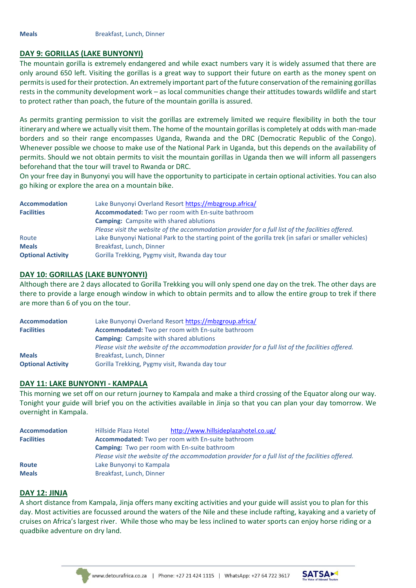#### **DAY 9: GORILLAS (LAKE BUNYONYI)**

The mountain gorilla is extremely endangered and while exact numbers vary it is widely assumed that there are only around 650 left. Visiting the gorillas is a great way to support their future on earth as the money spent on permits is used for their protection. An extremely important part of the future conservation of the remaining gorillas rests in the community development work – as local communities change their attitudes towards wildlife and start to protect rather than poach, the future of the mountain gorilla is assured.

As permits granting permission to visit the gorillas are extremely limited we require flexibility in both the tour itinerary and where we actually visit them. The home of the mountain gorillas is completely at odds with man-made borders and so their range encompasses Uganda, Rwanda and the DRC (Democratic Republic of the Congo). Whenever possible we choose to make use of the National Park in Uganda, but this depends on the availability of permits. Should we not obtain permits to visit the mountain gorillas in Uganda then we will inform all passengers beforehand that the tour will travel to Rwanda or DRC.

On your free day in Bunyonyi you will have the opportunity to participate in certain optional activities. You can also go hiking or explore the area on a mountain bike.

| <b>Accommodation</b>     | Lake Bunyonyi Overland Resort https://mbzgroup.africa/                                                |  |  |
|--------------------------|-------------------------------------------------------------------------------------------------------|--|--|
| <b>Facilities</b>        | Accommodated: Two per room with En-suite bathroom                                                     |  |  |
|                          | <b>Camping:</b> Campsite with shared ablutions                                                        |  |  |
|                          | Please visit the website of the accommodation provider for a full list of the facilities offered.     |  |  |
| Route                    | Lake Bunyonyi National Park to the starting point of the gorilla trek (in safari or smaller vehicles) |  |  |
| <b>Meals</b>             | Breakfast, Lunch, Dinner                                                                              |  |  |
| <b>Optional Activity</b> | Gorilla Trekking, Pygmy visit, Rwanda day tour                                                        |  |  |

#### **DAY 10: GORILLAS (LAKE BUNYONYI)**

Although there are 2 days allocated to Gorilla Trekking you will only spend one day on the trek. The other days are there to provide a large enough window in which to obtain permits and to allow the entire group to trek if there are more than 6 of you on the tour.

| <b>Accommodation</b>     | Lake Bunyonyi Overland Resort https://mbzgroup.africa/                                            |  |
|--------------------------|---------------------------------------------------------------------------------------------------|--|
| <b>Facilities</b>        | Accommodated: Two per room with En-suite bathroom                                                 |  |
|                          | <b>Camping:</b> Campsite with shared ablutions                                                    |  |
|                          | Please visit the website of the accommodation provider for a full list of the facilities offered. |  |
| <b>Meals</b>             | Breakfast, Lunch, Dinner                                                                          |  |
| <b>Optional Activity</b> | Gorilla Trekking, Pygmy visit, Rwanda day tour                                                    |  |

#### **DAY 11: LAKE BUNYONYI - KAMPALA**

This morning we set off on our return journey to Kampala and make a third crossing of the Equator along our way. Tonight your guide will brief you on the activities available in Jinja so that you can plan your day tomorrow. We overnight in Kampala.

| <b>Accommodation</b> | Hillside Plaza Hotel                                                                              | http://www.hillsideplazahotel.co.ug/ |  |
|----------------------|---------------------------------------------------------------------------------------------------|--------------------------------------|--|
| <b>Facilities</b>    | <b>Accommodated:</b> Two per room with En-suite bathroom                                          |                                      |  |
|                      | <b>Camping:</b> Two per room with En-suite bathroom                                               |                                      |  |
|                      | Please visit the website of the accommodation provider for a full list of the facilities offered. |                                      |  |
| <b>Route</b>         | Lake Bunyonyi to Kampala                                                                          |                                      |  |
| <b>Meals</b>         | Breakfast, Lunch, Dinner                                                                          |                                      |  |

#### **DAY 12: JINJA**

A short distance from Kampala, Jinja offers many exciting activities and your guide will assist you to plan for this day. Most activities are focussed around the waters of the Nile and these include rafting, kayaking and a variety of cruises on Africa's largest river. While those who may be less inclined to water sports can enjoy horse riding or a quadbike adventure on dry land.



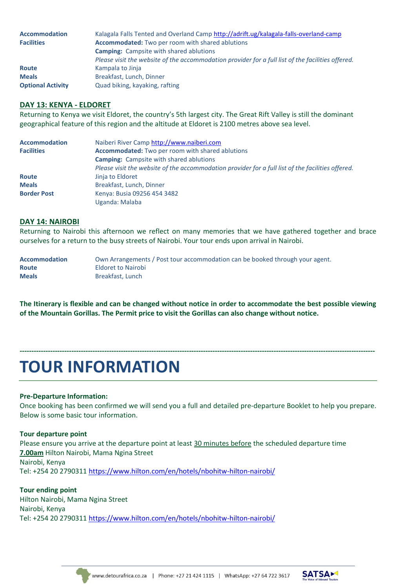| <b>Accommodation</b>     | Kalagala Falls Tented and Overland Camp http://adrift.ug/kalagala-falls-overland-camp             |
|--------------------------|---------------------------------------------------------------------------------------------------|
| <b>Facilities</b>        | <b>Accommodated:</b> Two per room with shared ablutions                                           |
|                          | <b>Camping:</b> Campsite with shared ablutions                                                    |
|                          | Please visit the website of the accommodation provider for a full list of the facilities offered. |
| <b>Route</b>             | Kampala to Jinja                                                                                  |
| <b>Meals</b>             | Breakfast, Lunch, Dinner                                                                          |
| <b>Optional Activity</b> | Quad biking, kayaking, rafting                                                                    |

#### **DAY 13: KENYA - ELDORET**

Returning to Kenya we visit Eldoret, the country's 5th largest city. The Great Rift Valley is still the dominant geographical feature of this region and the altitude at Eldoret is 2100 metres above sea level.

| <b>Accommodation</b> | Naiberi River Camp http://www.naiberi.com                                                         |
|----------------------|---------------------------------------------------------------------------------------------------|
| <b>Facilities</b>    | <b>Accommodated:</b> Two per room with shared ablutions                                           |
|                      | <b>Camping:</b> Campsite with shared ablutions                                                    |
|                      | Please visit the website of the accommodation provider for a full list of the facilities offered. |
| <b>Route</b>         | Jinja to Eldoret                                                                                  |
| <b>Meals</b>         | Breakfast, Lunch, Dinner                                                                          |
| <b>Border Post</b>   | Kenya: Busia 09256 454 3482                                                                       |
|                      | Uganda: Malaba                                                                                    |

#### **DAY 14: NAIROBI**

Returning to Nairobi this afternoon we reflect on many memories that we have gathered together and brace ourselves for a return to the busy streets of Nairobi. Your tour ends upon arrival in Nairobi.

| <b>Accommodation</b> | Own Arrangements / Post tour accommodation can be booked through your agent. |
|----------------------|------------------------------------------------------------------------------|
| <b>Route</b>         | Eldoret to Nairobi                                                           |
| <b>Meals</b>         | Breakfast, Lunch                                                             |

**The Itinerary is flexible and can be changed without notice in order to accommodate the best possible viewing of the Mountain Gorillas. The Permit price to visit the Gorillas can also change without notice.**

**-------------------------------------------------------------------------------------------------------------------------------------------------------**

# **TOUR INFORMATION**

#### **Pre-Departure Information:**

Once booking has been confirmed we will send you a full and detailed pre-departure Booklet to help you prepare. Below is some basic tour information.

#### **Tour departure point**

Please ensure you arrive at the departure point at least 30 minutes before the scheduled departure time **7.00am** Hilton Nairobi, Mama Ngina Street Nairobi, Kenya Tel: +254 20 2790311<https://www.hilton.com/en/hotels/nbohitw-hilton-nairobi/>

#### **Tour ending point**

Hilton Nairobi, Mama Ngina Street Nairobi, Kenya Tel: +254 20 2790311<https://www.hilton.com/en/hotels/nbohitw-hilton-nairobi/>



www.detourafrica.co.za | Phone: +27 21 424 1115 | WhatsApp: +27 64 722 3617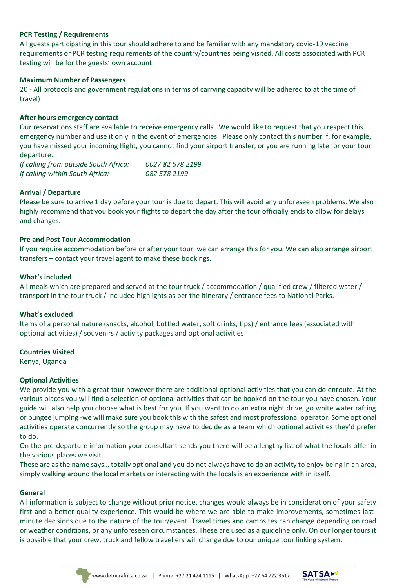#### **PCR Testing / Requirements**

All guests participating in this tour should adhere to and be familiar with any mandatory covid-19 vaccine requirements or PCR testing requirements of the country/countries being visited. All costs associated with PCR testing will be for the guests' own account.

#### **Maximum Number of Passengers**

20 - All protocols and government regulations in terms of carrying capacity will be adhered to at the time of travel)

#### **After hours emergency contact**

Our reservations staff are available to receive emergency calls. We would like to request that you respect this emergency number and use it only in the event of emergencies. Please only contact this number if, for example, you have missed your incoming flight, you cannot find your airport transfer, or you are running late for your tour departure.

*If calling from outside South Africa: 0027 82 578 2199 If calling within South Africa: 082 578 2199*

#### **Arrival / Departure**

Please be sure to arrive 1 day before your tour is due to depart. This will avoid any unforeseen problems. We also highly recommend that you book your flights to depart the day after the tour officially ends to allow for delays and changes.

#### **Pre and Post Tour Accommodation**

If you require accommodation before or after your tour, we can arrange this for you. We can also arrange airport transfers – contact your travel agent to make these bookings.

#### **What's included**

All meals which are prepared and served at the tour truck / accommodation / qualified crew / filtered water / transport in the tour truck / included highlights as per the itinerary / entrance fees to National Parks.

#### **What's excluded**

Items of a personal nature (snacks, alcohol, bottled water, soft drinks, tips) / entrance fees (associated with optional activities) / souvenirs / activity packages and optional activities

#### **Countries Visited**

Kenya, Uganda

#### **Optional Activities**

We provide you with a great tour however there are additional optional activities that you can do enroute. At the various places you will find a selection of optional activities that can be booked on the tour you have chosen. Your guide will also help you choose what is best for you. If you want to do an extra night drive, go white water rafting or bungee jumping -we will make sure you book this with the safest and most professional operator. Some optional activities operate concurrently so the group may have to decide as a team which optional activities they'd prefer to do.

On the pre-departure information your consultant sends you there will be a lengthy list of what the locals offer in the various places we visit.

These are as the name says… totally optional and you do not always have to do an activity to enjoy being in an area, simply walking around the local markets or interacting with the locals is an experience with in itself.

#### **General**

All information is subject to change without prior notice, changes would always be in consideration of your safety first and a better-quality experience. This would be where we are able to make improvements, sometimes lastminute decisions due to the nature of the tour/event. Travel times and campsites can change depending on road or weather conditions, or any unforeseen circumstances. These are used as a guideline only. On our longer tours it is possible that your crew, truck and fellow travellers will change due to our unique tour linking system.



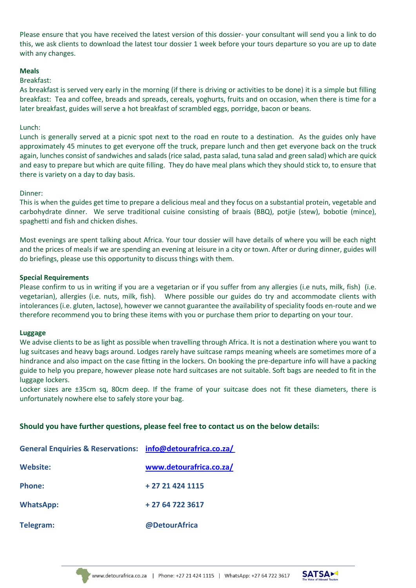Please ensure that you have received the latest version of this dossier- your consultant will send you a link to do this, we ask clients to download the latest tour dossier 1 week before your tours departure so you are up to date with any changes.

#### **Meals**

#### Breakfast:

As breakfast is served very early in the morning (if there is driving or activities to be done) it is a simple but filling breakfast: Tea and coffee, breads and spreads, cereals, yoghurts, fruits and on occasion, when there is time for a later breakfast, guides will serve a hot breakfast of scrambled eggs, porridge, bacon or beans.

#### Lunch:

Lunch is generally served at a picnic spot next to the road en route to a destination. As the guides only have approximately 45 minutes to get everyone off the truck, prepare lunch and then get everyone back on the truck again, lunches consist of sandwiches and salads (rice salad, pasta salad, tuna salad and green salad) which are quick and easy to prepare but which are quite filling. They do have meal plans which they should stick to, to ensure that there is variety on a day to day basis.

#### Dinner:

This is when the guides get time to prepare a delicious meal and they focus on a substantial protein, vegetable and carbohydrate dinner. We serve traditional cuisine consisting of braais (BBQ), potjie (stew), bobotie (mince), spaghetti and fish and chicken dishes.

Most evenings are spent talking about Africa. Your tour dossier will have details of where you will be each night and the prices of meals if we are spending an evening at leisure in a city or town. After or during dinner, guides will do briefings, please use this opportunity to discuss things with them.

#### **Special Requirements**

Please confirm to us in writing if you are a vegetarian or if you suffer from any allergies (i.e nuts, milk, fish) (i.e. vegetarian), allergies (i.e. nuts, milk, fish). Where possible our guides do try and accommodate clients with intolerances (i.e. gluten, lactose), however we cannot guarantee the availability of speciality foods en-route and we therefore recommend you to bring these items with you or purchase them prior to departing on your tour.

#### **Luggage**

We advise clients to be as light as possible when travelling through Africa. It is not a destination where you want to lug suitcases and heavy bags around. Lodges rarely have suitcase ramps meaning wheels are sometimes more of a hindrance and also impact on the case fitting in the lockers. On booking the pre-departure info will have a packing guide to help you prepare, however please note hard suitcases are not suitable. Soft bags are needed to fit in the luggage lockers.

Locker sizes are ±35cm sq, 80cm deep. If the frame of your suitcase does not fit these diameters, there is unfortunately nowhere else to safely store your bag.

#### **Should you have further questions, please feel free to contact us on the below details:**

| General Enquiries & Reservations: info@detourafrica.co.za/ |                         |
|------------------------------------------------------------|-------------------------|
| <b>Website:</b>                                            | www.detourafrica.co.za/ |
| <b>Phone:</b>                                              | + 27 21 424 1115        |
| <b>WhatsApp:</b>                                           | + 27 64 722 3617        |
| Telegram:                                                  | @DetourAfrica           |